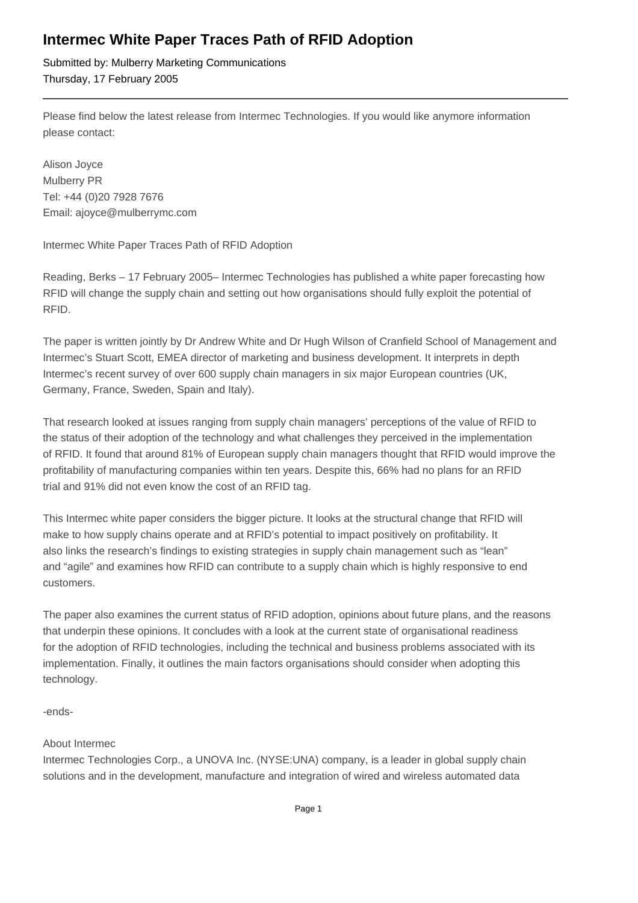## **Intermec White Paper Traces Path of RFID Adoption**

Submitted by: Mulberry Marketing Communications Thursday, 17 February 2005

Please find below the latest release from Intermec Technologies. If you would like anymore information please contact:

Alison Joyce Mulberry PR Tel: +44 (0)20 7928 7676 Email: ajoyce@mulberrymc.com

Intermec White Paper Traces Path of RFID Adoption

Reading, Berks – 17 February 2005– Intermec Technologies has published a white paper forecasting how RFID will change the supply chain and setting out how organisations should fully exploit the potential of RFID.

The paper is written jointly by Dr Andrew White and Dr Hugh Wilson of Cranfield School of Management and Intermec's Stuart Scott, EMEA director of marketing and business development. It interprets in depth Intermec's recent survey of over 600 supply chain managers in six major European countries (UK, Germany, France, Sweden, Spain and Italy).

That research looked at issues ranging from supply chain managers' perceptions of the value of RFID to the status of their adoption of the technology and what challenges they perceived in the implementation of RFID. It found that around 81% of European supply chain managers thought that RFID would improve the profitability of manufacturing companies within ten years. Despite this, 66% had no plans for an RFID trial and 91% did not even know the cost of an RFID tag.

This Intermec white paper considers the bigger picture. It looks at the structural change that RFID will make to how supply chains operate and at RFID's potential to impact positively on profitability. It also links the research's findings to existing strategies in supply chain management such as "lean" and "agile" and examines how RFID can contribute to a supply chain which is highly responsive to end customers.

The paper also examines the current status of RFID adoption, opinions about future plans, and the reasons that underpin these opinions. It concludes with a look at the current state of organisational readiness for the adoption of RFID technologies, including the technical and business problems associated with its implementation. Finally, it outlines the main factors organisations should consider when adopting this technology.

-ends-

## About Intermec

Intermec Technologies Corp., a UNOVA Inc. (NYSE:UNA) company, is a leader in global supply chain solutions and in the development, manufacture and integration of wired and wireless automated data